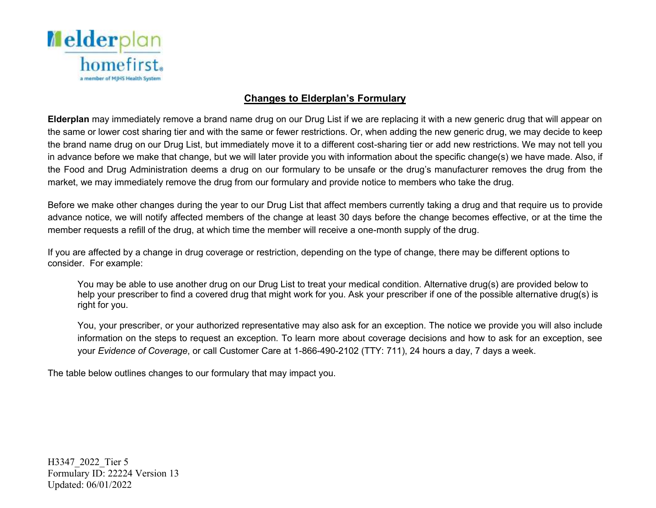

## **Changes to Elderplan's Formulary**

 **Elderplan** may immediately remove a brand name drug on our Drug List if we are replacing it with a new generic drug that will appear on the same or lower cost sharing tier and with the same or fewer restrictions. Or, when adding the new generic drug, we may decide to keep the brand name drug on our Drug List, but immediately move it to a different cost-sharing tier or add new restrictions. We may not tell you in advance before we make that change, but we will later provide you with information about the specific change(s) we have made. Also, if the Food and Drug Administration deems a drug on our formulary to be unsafe or the drug's manufacturer removes the drug from the market, we may immediately remove the drug from our formulary and provide notice to members who take the drug.

 Before we make other changes during the year to our Drug List that affect members currently taking a drug and that require us to provide advance notice, we will notify affected members of the change at least 30 days before the change becomes effective, or at the time the member requests a refill of the drug, at which time the member will receive a one-month supply of the drug.

 If you are affected by a change in drug coverage or restriction, depending on the type of change, there may be different options to consider. For example:

 You may be able to use another drug on our Drug List to treat your medical condition. Alternative drug(s) are provided below to help your prescriber to find a covered drug that might work for you. Ask your prescriber if one of the possible alternative drug(s) is right for you.

 You, your prescriber, or your authorized representative may also ask for an exception. The notice we provide you will also include information on the steps to request an exception. To learn more about coverage decisions and how to ask for an exception, see  your *Evidence of Coverage*, or call Customer Care at 1-866-490-2102 (TTY: 711), 24 hours a day, 7 days a week.

The table below outlines changes to our formulary that may impact you.

H3347\_2022\_Tier 5 Formulary ID: 22224 Version 13 Updated: 06/01/2022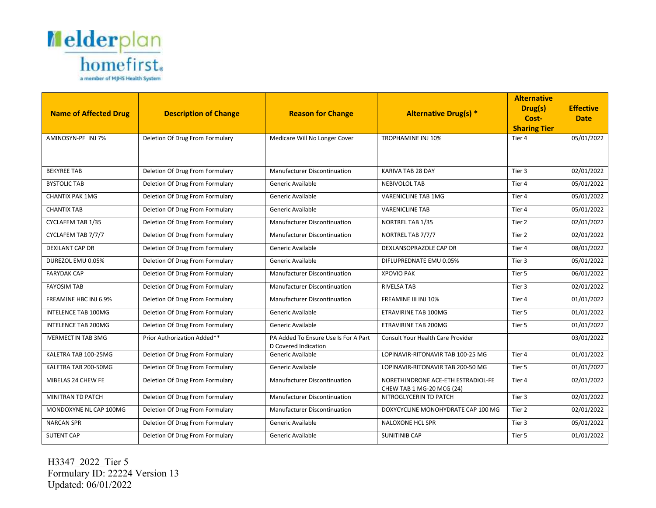

|                              |                                 |                                                              |                                                     | <b>Alternative</b><br>Drug(s) | <b>Effective</b> |
|------------------------------|---------------------------------|--------------------------------------------------------------|-----------------------------------------------------|-------------------------------|------------------|
| <b>Name of Affected Drug</b> | <b>Description of Change</b>    | <b>Reason for Change</b>                                     | <b>Alternative Drug(s) *</b>                        | Cost-                         | <b>Date</b>      |
|                              |                                 |                                                              |                                                     | <b>Sharing Tier</b>           |                  |
| AMINOSYN-PF INJ 7%           | Deletion Of Drug From Formulary | Medicare Will No Longer Cover                                | <b>TROPHAMINE INJ 10%</b>                           | Tier 4                        | 05/01/2022       |
|                              |                                 |                                                              |                                                     |                               |                  |
| <b>BEKYREE TAB</b>           | Deletion Of Drug From Formulary | <b>Manufacturer Discontinuation</b>                          | KARIVA TAB 28 DAY                                   | Tier 3                        | 02/01/2022       |
| <b>BYSTOLIC TAB</b>          | Deletion Of Drug From Formulary | Generic Available                                            | <b>NEBIVOLOL TAB</b>                                | Tier 4                        | 05/01/2022       |
| <b>CHANTIX PAK 1MG</b>       | Deletion Of Drug From Formulary | Generic Available                                            | <b>VARENICLINE TAB 1MG</b>                          | Tier 4                        | 05/01/2022       |
| <b>CHANTIX TAB</b>           | Deletion Of Drug From Formulary | Generic Available                                            | <b>VARENICLINE TAB</b>                              | Tier 4                        | 05/01/2022       |
| CYCLAFEM TAB 1/35            | Deletion Of Drug From Formulary | Manufacturer Discontinuation                                 | NORTREL TAB 1/35                                    | Tier 2                        | 02/01/2022       |
| CYCLAFEM TAB 7/7/7           | Deletion Of Drug From Formulary | Manufacturer Discontinuation                                 | NORTREL TAB 7/7/7                                   | Tier 2                        | 02/01/2022       |
| DEXILANT CAP DR              | Deletion Of Drug From Formulary | Generic Available                                            | DEXLANSOPRAZOLE CAP DR                              | Tier 4                        | 08/01/2022       |
| DUREZOL EMU 0.05%            | Deletion Of Drug From Formulary | Generic Available                                            | DIFLUPREDNATE EMU 0.05%                             | Tier 3                        | 05/01/2022       |
| <b>FARYDAK CAP</b>           | Deletion Of Drug From Formulary | Manufacturer Discontinuation                                 | <b>XPOVIO PAK</b>                                   | Tier 5                        | 06/01/2022       |
| <b>FAYOSIM TAB</b>           | Deletion Of Drug From Formulary | Manufacturer Discontinuation                                 | <b>RIVELSA TAB</b>                                  | Tier 3                        | 02/01/2022       |
| FREAMINE HBC INJ 6.9%        | Deletion Of Drug From Formulary | <b>Manufacturer Discontinuation</b>                          | FREAMINE III INJ 10%                                | Tier 4                        | 01/01/2022       |
| <b>INTELENCE TAB 100MG</b>   | Deletion Of Drug From Formulary | Generic Available                                            | <b>ETRAVIRINE TAB 100MG</b>                         | Tier 5                        | 01/01/2022       |
| <b>INTELENCE TAB 200MG</b>   | Deletion Of Drug From Formulary | Generic Available                                            | ETRAVIRINE TAB 200MG                                | Tier 5                        | 01/01/2022       |
| <b>IVERMECTIN TAB 3MG</b>    | Prior Authorization Added**     | PA Added To Ensure Use Is For A Part<br>D Covered Indication | Consult Your Health Care Provider                   |                               | 03/01/2022       |
| KALETRA TAB 100-25MG         | Deletion Of Drug From Formulary | Generic Available                                            | LOPINAVIR-RITONAVIR TAB 100-25 MG                   | Tier 4                        | 01/01/2022       |
| KALETRA TAB 200-50MG         | Deletion Of Drug From Formulary | Generic Available                                            | LOPINAVIR-RITONAVIR TAB 200-50 MG                   | Tier 5                        | 01/01/2022       |
| MIBELAS 24 CHEW FE           | Deletion Of Drug From Formulary | <b>Manufacturer Discontinuation</b>                          | NORETHINDRONE ACE-ETH ESTRADIOL-FE                  | Tier 4                        | 02/01/2022       |
| MINITRAN TD PATCH            | Deletion Of Drug From Formulary | Manufacturer Discontinuation                                 | CHEW TAB 1 MG-20 MCG (24)<br>NITROGLYCERIN TD PATCH | Tier 3                        | 02/01/2022       |
| MONDOXYNE NL CAP 100MG       | Deletion Of Drug From Formulary | <b>Manufacturer Discontinuation</b>                          | DOXYCYCLINE MONOHYDRATE CAP 100 MG                  | Tier 2                        | 02/01/2022       |
| <b>NARCAN SPR</b>            | Deletion Of Drug From Formulary | Generic Available                                            | <b>NALOXONE HCL SPR</b>                             | Tier 3                        | 05/01/2022       |
| <b>SUTENT CAP</b>            | Deletion Of Drug From Formulary | Generic Available                                            | <b>SUNITINIB CAP</b>                                | Tier 5                        | 01/01/2022       |

H3347\_2022\_Tier 5 Formulary ID: 22224 Version 13 Updated: 06/01/2022